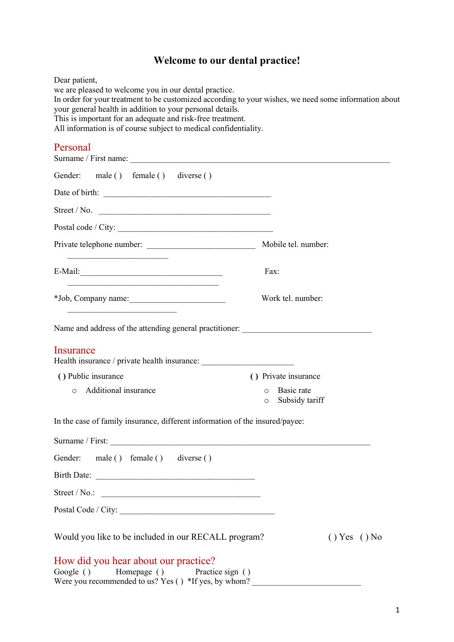## Welcome to our dental practice!

| Dear patient,<br>we are pleased to welcome you in our dental practice.<br>In order for your treatment to be customized according to your wishes, we need some information about<br>your general health in addition to your personal details.<br>This is important for an adequate and risk-free treatment.<br>All information is of course subject to medical confidentiality. |                                                    |              |
|--------------------------------------------------------------------------------------------------------------------------------------------------------------------------------------------------------------------------------------------------------------------------------------------------------------------------------------------------------------------------------|----------------------------------------------------|--------------|
| Personal<br>Surname / First name:                                                                                                                                                                                                                                                                                                                                              |                                                    |              |
| Gender: male () female () diverse ()                                                                                                                                                                                                                                                                                                                                           |                                                    |              |
|                                                                                                                                                                                                                                                                                                                                                                                |                                                    |              |
| Street / No. $\qquad \qquad$                                                                                                                                                                                                                                                                                                                                                   |                                                    |              |
|                                                                                                                                                                                                                                                                                                                                                                                |                                                    |              |
|                                                                                                                                                                                                                                                                                                                                                                                |                                                    |              |
|                                                                                                                                                                                                                                                                                                                                                                                | Fax:                                               |              |
| *Job, Company name:                                                                                                                                                                                                                                                                                                                                                            | Work tel. number:                                  |              |
| Insurance<br>Health insurance / private health insurance: ___________________________________                                                                                                                                                                                                                                                                                  |                                                    |              |
| () Public insurance                                                                                                                                                                                                                                                                                                                                                            | () Private insurance                               |              |
| Additional insurance<br>$\Omega$                                                                                                                                                                                                                                                                                                                                               | Basic rate<br>$\circ$<br>Subsidy tariff<br>$\circ$ |              |
| In the case of family insurance, different information of the insured/payee:                                                                                                                                                                                                                                                                                                   |                                                    |              |
|                                                                                                                                                                                                                                                                                                                                                                                |                                                    |              |
| Gender: male () female () diverse ()                                                                                                                                                                                                                                                                                                                                           |                                                    |              |
| Birth Date:                                                                                                                                                                                                                                                                                                                                                                    |                                                    |              |
|                                                                                                                                                                                                                                                                                                                                                                                |                                                    |              |
|                                                                                                                                                                                                                                                                                                                                                                                |                                                    |              |
| Would you like to be included in our RECALL program?                                                                                                                                                                                                                                                                                                                           |                                                    | () Yes () No |
| How did you hear about our practice?<br>Google () Homepage () Practice sign ()<br>Were you recommended to us? Yes () *If yes, by whom?                                                                                                                                                                                                                                         |                                                    |              |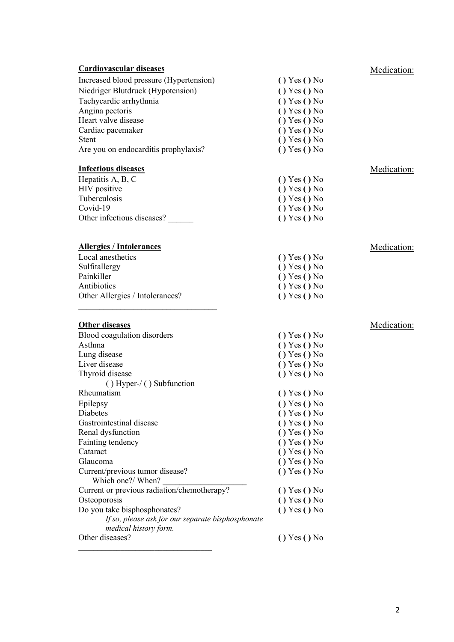| Increased blood pressure (Hypertension)<br>() Yes () No<br>Niedriger Blutdruck (Hypotension)<br>() Yes () No<br>Tachycardic arrhythmia<br>() Yes () No<br>Angina pectoris<br>() Yes () No<br>Heart valve disease<br>() Yes () No<br>Cardiac pacemaker<br>() Yes () No<br>() Yes () No<br><b>Stent</b><br>() Yes () No<br>Are you on endocarditis prophylaxis?<br><b>Infectious diseases</b><br>Medication:<br>Hepatitis A, B, C<br>() Yes () No<br>HIV positive<br>() Yes () No<br>Tuberculosis<br>() Yes () No<br>Covid-19<br>() Yes () No<br>Other infectious diseases?<br>() Yes () No<br><b>Allergies / Intolerances</b><br>Medication:<br>Local anesthetics<br>() Yes () No<br>Sulfitallergy<br>() Yes () No<br>Painkiller<br>() Yes () No<br>Antibiotics<br>() Yes () No<br>Other Allergies / Intolerances?<br>() Yes () No<br><b>Other diseases</b><br>Medication:<br>Blood coagulation disorders<br>() Yes () No<br>Asthma<br>() Yes () No<br>Lung disease<br>() Yes () No<br>Liver disease<br>() Yes () No<br>Thyroid disease<br>() Yes () No<br>$( )$ Hyper- $/ ( )$ Subfunction<br>Rheumatism<br>() Yes () No<br>Epilepsy<br>$()$ Yes $()$ No<br>Diabetes<br>() Yes () No<br>Gastrointestinal disease<br>() Yes () No<br>Renal dysfunction<br>() Yes () No<br>Fainting tendency<br>() Yes () No<br>Cataract<br>() Yes () No<br>Glaucoma<br>() Yes () No<br>Current/previous tumor disease?<br>() Yes () No<br>Which one?/ When?<br>Current or previous radiation/chemotherapy?<br>$()$ Yes $()$ No<br>Osteoporosis<br>() Yes () No<br>Do you take bisphosphonates?<br>() Yes () No<br>If so, please ask for our separate bisphosphonate<br>medical history form.<br>Other diseases?<br>$()$ Yes $()$ No | <b>Cardiovascular diseases</b> | Medication: |
|--------------------------------------------------------------------------------------------------------------------------------------------------------------------------------------------------------------------------------------------------------------------------------------------------------------------------------------------------------------------------------------------------------------------------------------------------------------------------------------------------------------------------------------------------------------------------------------------------------------------------------------------------------------------------------------------------------------------------------------------------------------------------------------------------------------------------------------------------------------------------------------------------------------------------------------------------------------------------------------------------------------------------------------------------------------------------------------------------------------------------------------------------------------------------------------------------------------------------------------------------------------------------------------------------------------------------------------------------------------------------------------------------------------------------------------------------------------------------------------------------------------------------------------------------------------------------------------------------------------------------------------------------------------------------------------------------------------------|--------------------------------|-------------|
|                                                                                                                                                                                                                                                                                                                                                                                                                                                                                                                                                                                                                                                                                                                                                                                                                                                                                                                                                                                                                                                                                                                                                                                                                                                                                                                                                                                                                                                                                                                                                                                                                                                                                                                    |                                |             |
|                                                                                                                                                                                                                                                                                                                                                                                                                                                                                                                                                                                                                                                                                                                                                                                                                                                                                                                                                                                                                                                                                                                                                                                                                                                                                                                                                                                                                                                                                                                                                                                                                                                                                                                    |                                |             |
|                                                                                                                                                                                                                                                                                                                                                                                                                                                                                                                                                                                                                                                                                                                                                                                                                                                                                                                                                                                                                                                                                                                                                                                                                                                                                                                                                                                                                                                                                                                                                                                                                                                                                                                    |                                |             |
|                                                                                                                                                                                                                                                                                                                                                                                                                                                                                                                                                                                                                                                                                                                                                                                                                                                                                                                                                                                                                                                                                                                                                                                                                                                                                                                                                                                                                                                                                                                                                                                                                                                                                                                    |                                |             |
|                                                                                                                                                                                                                                                                                                                                                                                                                                                                                                                                                                                                                                                                                                                                                                                                                                                                                                                                                                                                                                                                                                                                                                                                                                                                                                                                                                                                                                                                                                                                                                                                                                                                                                                    |                                |             |
|                                                                                                                                                                                                                                                                                                                                                                                                                                                                                                                                                                                                                                                                                                                                                                                                                                                                                                                                                                                                                                                                                                                                                                                                                                                                                                                                                                                                                                                                                                                                                                                                                                                                                                                    |                                |             |
|                                                                                                                                                                                                                                                                                                                                                                                                                                                                                                                                                                                                                                                                                                                                                                                                                                                                                                                                                                                                                                                                                                                                                                                                                                                                                                                                                                                                                                                                                                                                                                                                                                                                                                                    |                                |             |
|                                                                                                                                                                                                                                                                                                                                                                                                                                                                                                                                                                                                                                                                                                                                                                                                                                                                                                                                                                                                                                                                                                                                                                                                                                                                                                                                                                                                                                                                                                                                                                                                                                                                                                                    |                                |             |
|                                                                                                                                                                                                                                                                                                                                                                                                                                                                                                                                                                                                                                                                                                                                                                                                                                                                                                                                                                                                                                                                                                                                                                                                                                                                                                                                                                                                                                                                                                                                                                                                                                                                                                                    |                                |             |
|                                                                                                                                                                                                                                                                                                                                                                                                                                                                                                                                                                                                                                                                                                                                                                                                                                                                                                                                                                                                                                                                                                                                                                                                                                                                                                                                                                                                                                                                                                                                                                                                                                                                                                                    |                                |             |
|                                                                                                                                                                                                                                                                                                                                                                                                                                                                                                                                                                                                                                                                                                                                                                                                                                                                                                                                                                                                                                                                                                                                                                                                                                                                                                                                                                                                                                                                                                                                                                                                                                                                                                                    |                                |             |
|                                                                                                                                                                                                                                                                                                                                                                                                                                                                                                                                                                                                                                                                                                                                                                                                                                                                                                                                                                                                                                                                                                                                                                                                                                                                                                                                                                                                                                                                                                                                                                                                                                                                                                                    |                                |             |
|                                                                                                                                                                                                                                                                                                                                                                                                                                                                                                                                                                                                                                                                                                                                                                                                                                                                                                                                                                                                                                                                                                                                                                                                                                                                                                                                                                                                                                                                                                                                                                                                                                                                                                                    |                                |             |
|                                                                                                                                                                                                                                                                                                                                                                                                                                                                                                                                                                                                                                                                                                                                                                                                                                                                                                                                                                                                                                                                                                                                                                                                                                                                                                                                                                                                                                                                                                                                                                                                                                                                                                                    |                                |             |
|                                                                                                                                                                                                                                                                                                                                                                                                                                                                                                                                                                                                                                                                                                                                                                                                                                                                                                                                                                                                                                                                                                                                                                                                                                                                                                                                                                                                                                                                                                                                                                                                                                                                                                                    |                                |             |
|                                                                                                                                                                                                                                                                                                                                                                                                                                                                                                                                                                                                                                                                                                                                                                                                                                                                                                                                                                                                                                                                                                                                                                                                                                                                                                                                                                                                                                                                                                                                                                                                                                                                                                                    |                                |             |
|                                                                                                                                                                                                                                                                                                                                                                                                                                                                                                                                                                                                                                                                                                                                                                                                                                                                                                                                                                                                                                                                                                                                                                                                                                                                                                                                                                                                                                                                                                                                                                                                                                                                                                                    |                                |             |
|                                                                                                                                                                                                                                                                                                                                                                                                                                                                                                                                                                                                                                                                                                                                                                                                                                                                                                                                                                                                                                                                                                                                                                                                                                                                                                                                                                                                                                                                                                                                                                                                                                                                                                                    |                                |             |
|                                                                                                                                                                                                                                                                                                                                                                                                                                                                                                                                                                                                                                                                                                                                                                                                                                                                                                                                                                                                                                                                                                                                                                                                                                                                                                                                                                                                                                                                                                                                                                                                                                                                                                                    |                                |             |
|                                                                                                                                                                                                                                                                                                                                                                                                                                                                                                                                                                                                                                                                                                                                                                                                                                                                                                                                                                                                                                                                                                                                                                                                                                                                                                                                                                                                                                                                                                                                                                                                                                                                                                                    |                                |             |
|                                                                                                                                                                                                                                                                                                                                                                                                                                                                                                                                                                                                                                                                                                                                                                                                                                                                                                                                                                                                                                                                                                                                                                                                                                                                                                                                                                                                                                                                                                                                                                                                                                                                                                                    |                                |             |
|                                                                                                                                                                                                                                                                                                                                                                                                                                                                                                                                                                                                                                                                                                                                                                                                                                                                                                                                                                                                                                                                                                                                                                                                                                                                                                                                                                                                                                                                                                                                                                                                                                                                                                                    |                                |             |
|                                                                                                                                                                                                                                                                                                                                                                                                                                                                                                                                                                                                                                                                                                                                                                                                                                                                                                                                                                                                                                                                                                                                                                                                                                                                                                                                                                                                                                                                                                                                                                                                                                                                                                                    |                                |             |
|                                                                                                                                                                                                                                                                                                                                                                                                                                                                                                                                                                                                                                                                                                                                                                                                                                                                                                                                                                                                                                                                                                                                                                                                                                                                                                                                                                                                                                                                                                                                                                                                                                                                                                                    |                                |             |
|                                                                                                                                                                                                                                                                                                                                                                                                                                                                                                                                                                                                                                                                                                                                                                                                                                                                                                                                                                                                                                                                                                                                                                                                                                                                                                                                                                                                                                                                                                                                                                                                                                                                                                                    |                                |             |
|                                                                                                                                                                                                                                                                                                                                                                                                                                                                                                                                                                                                                                                                                                                                                                                                                                                                                                                                                                                                                                                                                                                                                                                                                                                                                                                                                                                                                                                                                                                                                                                                                                                                                                                    |                                |             |
|                                                                                                                                                                                                                                                                                                                                                                                                                                                                                                                                                                                                                                                                                                                                                                                                                                                                                                                                                                                                                                                                                                                                                                                                                                                                                                                                                                                                                                                                                                                                                                                                                                                                                                                    |                                |             |
|                                                                                                                                                                                                                                                                                                                                                                                                                                                                                                                                                                                                                                                                                                                                                                                                                                                                                                                                                                                                                                                                                                                                                                                                                                                                                                                                                                                                                                                                                                                                                                                                                                                                                                                    |                                |             |
|                                                                                                                                                                                                                                                                                                                                                                                                                                                                                                                                                                                                                                                                                                                                                                                                                                                                                                                                                                                                                                                                                                                                                                                                                                                                                                                                                                                                                                                                                                                                                                                                                                                                                                                    |                                |             |
|                                                                                                                                                                                                                                                                                                                                                                                                                                                                                                                                                                                                                                                                                                                                                                                                                                                                                                                                                                                                                                                                                                                                                                                                                                                                                                                                                                                                                                                                                                                                                                                                                                                                                                                    |                                |             |
|                                                                                                                                                                                                                                                                                                                                                                                                                                                                                                                                                                                                                                                                                                                                                                                                                                                                                                                                                                                                                                                                                                                                                                                                                                                                                                                                                                                                                                                                                                                                                                                                                                                                                                                    |                                |             |
|                                                                                                                                                                                                                                                                                                                                                                                                                                                                                                                                                                                                                                                                                                                                                                                                                                                                                                                                                                                                                                                                                                                                                                                                                                                                                                                                                                                                                                                                                                                                                                                                                                                                                                                    |                                |             |
|                                                                                                                                                                                                                                                                                                                                                                                                                                                                                                                                                                                                                                                                                                                                                                                                                                                                                                                                                                                                                                                                                                                                                                                                                                                                                                                                                                                                                                                                                                                                                                                                                                                                                                                    |                                |             |
|                                                                                                                                                                                                                                                                                                                                                                                                                                                                                                                                                                                                                                                                                                                                                                                                                                                                                                                                                                                                                                                                                                                                                                                                                                                                                                                                                                                                                                                                                                                                                                                                                                                                                                                    |                                |             |
|                                                                                                                                                                                                                                                                                                                                                                                                                                                                                                                                                                                                                                                                                                                                                                                                                                                                                                                                                                                                                                                                                                                                                                                                                                                                                                                                                                                                                                                                                                                                                                                                                                                                                                                    |                                |             |
|                                                                                                                                                                                                                                                                                                                                                                                                                                                                                                                                                                                                                                                                                                                                                                                                                                                                                                                                                                                                                                                                                                                                                                                                                                                                                                                                                                                                                                                                                                                                                                                                                                                                                                                    |                                |             |
|                                                                                                                                                                                                                                                                                                                                                                                                                                                                                                                                                                                                                                                                                                                                                                                                                                                                                                                                                                                                                                                                                                                                                                                                                                                                                                                                                                                                                                                                                                                                                                                                                                                                                                                    |                                |             |
|                                                                                                                                                                                                                                                                                                                                                                                                                                                                                                                                                                                                                                                                                                                                                                                                                                                                                                                                                                                                                                                                                                                                                                                                                                                                                                                                                                                                                                                                                                                                                                                                                                                                                                                    |                                |             |
|                                                                                                                                                                                                                                                                                                                                                                                                                                                                                                                                                                                                                                                                                                                                                                                                                                                                                                                                                                                                                                                                                                                                                                                                                                                                                                                                                                                                                                                                                                                                                                                                                                                                                                                    |                                |             |
|                                                                                                                                                                                                                                                                                                                                                                                                                                                                                                                                                                                                                                                                                                                                                                                                                                                                                                                                                                                                                                                                                                                                                                                                                                                                                                                                                                                                                                                                                                                                                                                                                                                                                                                    |                                |             |
|                                                                                                                                                                                                                                                                                                                                                                                                                                                                                                                                                                                                                                                                                                                                                                                                                                                                                                                                                                                                                                                                                                                                                                                                                                                                                                                                                                                                                                                                                                                                                                                                                                                                                                                    |                                |             |
|                                                                                                                                                                                                                                                                                                                                                                                                                                                                                                                                                                                                                                                                                                                                                                                                                                                                                                                                                                                                                                                                                                                                                                                                                                                                                                                                                                                                                                                                                                                                                                                                                                                                                                                    |                                |             |
|                                                                                                                                                                                                                                                                                                                                                                                                                                                                                                                                                                                                                                                                                                                                                                                                                                                                                                                                                                                                                                                                                                                                                                                                                                                                                                                                                                                                                                                                                                                                                                                                                                                                                                                    |                                |             |
|                                                                                                                                                                                                                                                                                                                                                                                                                                                                                                                                                                                                                                                                                                                                                                                                                                                                                                                                                                                                                                                                                                                                                                                                                                                                                                                                                                                                                                                                                                                                                                                                                                                                                                                    |                                |             |
|                                                                                                                                                                                                                                                                                                                                                                                                                                                                                                                                                                                                                                                                                                                                                                                                                                                                                                                                                                                                                                                                                                                                                                                                                                                                                                                                                                                                                                                                                                                                                                                                                                                                                                                    |                                |             |